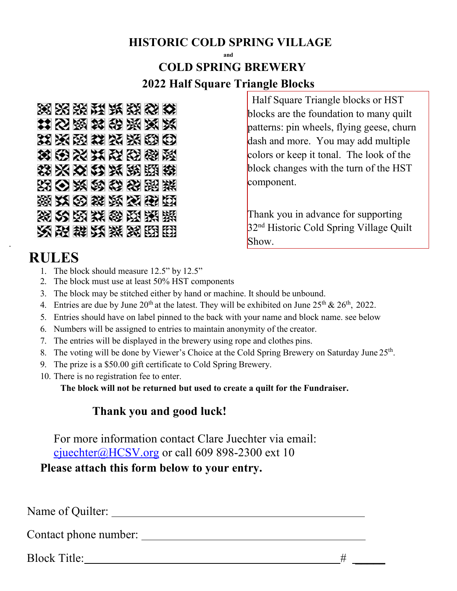## **HISTORIC COLD SPRING VILLAGE**

## **and COLD SPRING BREWERY 2022 Half Square Triangle Blocks**



## **RULES**

.

- 1. The block should measure 12.5" by 12.5"
- 2. The block must use at least 50% HST components
- 3. The block may be stitched either by hand or machine. It should be unbound.
- 4. Entries are due by June  $20^{th}$  at the latest. They will be exhibited on June  $25^{th}$  &  $26^{th}$ ,  $2022$ .
- 5. Entries should have on label pinned to the back with your name and block name. see below
- 6. Numbers will be assigned to entries to maintain anonymity of the creator.
- 7. The entries will be displayed in the brewery using rope and clothes pins.
- 8. The voting will be done by Viewer's Choice at the Cold Spring Brewery on Saturday June 25<sup>th</sup>.
- 9. The prize is a \$50.00 gift certificate to Cold Spring Brewery.
- 10. There is no registration fee to enter.

**The block will not be returned but used to create a quilt for the Fundraiser.**

## **Thank you and good luck!**

For more information contact Clare Juechter via email: [cjuechter@HCSV.org](mailto:cjuechter@HCSV.org) or call 609 898-2300 ext 10

**Please attach this form below to your entry.** 

Name of Quilter:

Contact phone number:

Block Title: #  $\#$ 

 Half Square Triangle blocks or HST blocks are the foundation to many quilt patterns: pin wheels, flying geese, churn dash and more. You may add multiple colors or keep it tonal. The look of the block changes with the turn of the HST component.

Thank you in advance for supporting 32<sup>nd</sup> Historic Cold Spring Village Quilt Show.